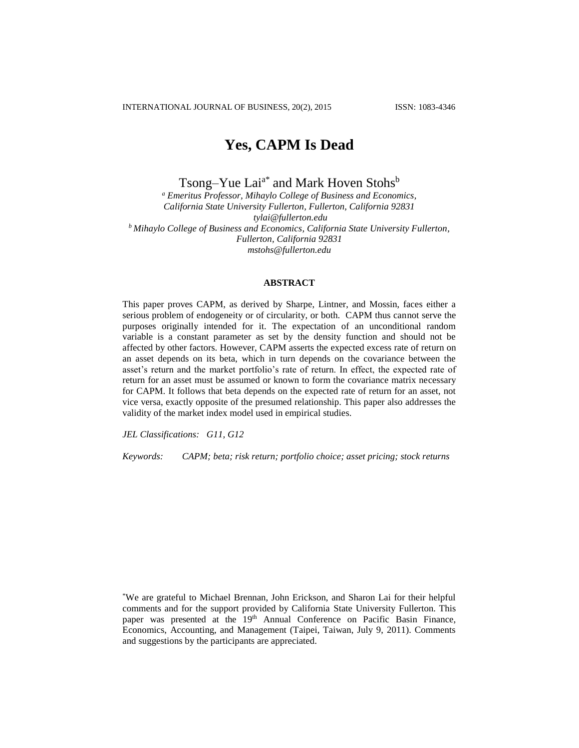# **Yes, CAPM Is Dead**

Tsong–Yue Lai<sup>a\*</sup> and Mark Hoven Stohs<sup>b</sup>

*<sup>a</sup> Emeritus Professor, Mihaylo College of Business and Economics, California State University Fullerton, Fullerton, California 92831 tylai@fullerton.edu <sup>b</sup>Mihaylo College of Business and Economics, California State University Fullerton, Fullerton, California 92831 mstohs@fullerton.edu*

# **ABSTRACT**

This paper proves CAPM, as derived by Sharpe, Lintner, and Mossin, faces either a serious problem of endogeneity or of circularity, or both. CAPM thus cannot serve the purposes originally intended for it. The expectation of an unconditional random variable is a constant parameter as set by the density function and should not be affected by other factors. However, CAPM asserts the expected excess rate of return on an asset depends on its beta, which in turn depends on the covariance between the asset's return and the market portfolio's rate of return. In effect, the expected rate of return for an asset must be assumed or known to form the covariance matrix necessary for CAPM. It follows that beta depends on the expected rate of return for an asset, not vice versa, exactly opposite of the presumed relationship. This paper also addresses the validity of the market index model used in empirical studies.

*JEL Classifications: G11, G12*

*Keywords: CAPM; beta; risk return; portfolio choice; asset pricing; stock returns*

\*We are grateful to Michael Brennan, John Erickson, and Sharon Lai for their helpful comments and for the support provided by California State University Fullerton. This paper was presented at the 19<sup>th</sup> Annual Conference on Pacific Basin Finance, Economics, Accounting, and Management (Taipei, Taiwan, July 9, 2011). Comments and suggestions by the participants are appreciated.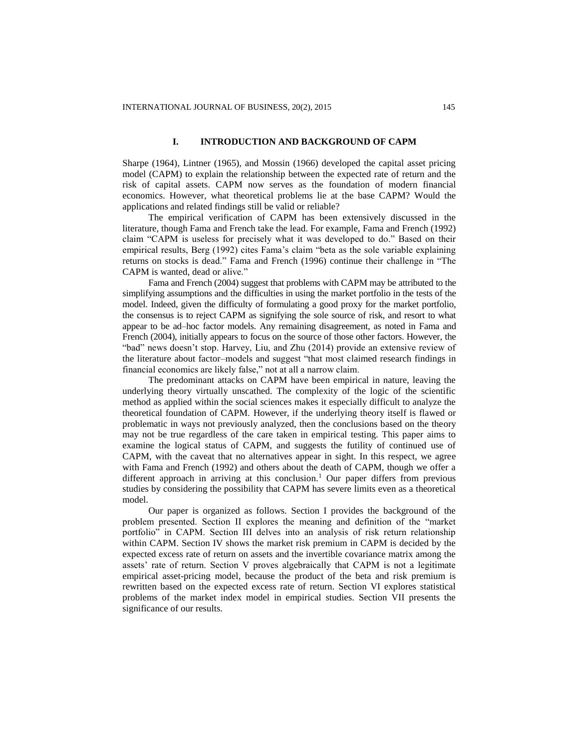#### **I. INTRODUCTION AND BACKGROUND OF CAPM**

Sharpe (1964), Lintner (1965), and Mossin (1966) developed the capital asset pricing model (CAPM) to explain the relationship between the expected rate of return and the risk of capital assets. CAPM now serves as the foundation of modern financial economics. However, what theoretical problems lie at the base CAPM? Would the applications and related findings still be valid or reliable?

The empirical verification of CAPM has been extensively discussed in the literature, though Fama and French take the lead. For example, Fama and French (1992) claim "CAPM is useless for precisely what it was developed to do." Based on their empirical results, Berg (1992) cites Fama's claim "beta as the sole variable explaining returns on stocks is dead." Fama and French (1996) continue their challenge in "The CAPM is wanted, dead or alive."

Fama and French (2004) suggest that problems with CAPM may be attributed to the simplifying assumptions and the difficulties in using the market portfolio in the tests of the model. Indeed, given the difficulty of formulating a good proxy for the market portfolio, the consensus is to reject CAPM as signifying the sole source of risk, and resort to what appear to be ad–hoc factor models. Any remaining disagreement, as noted in Fama and French (2004), initially appears to focus on the source of those other factors. However, the "bad" news doesn't stop. Harvey, Liu, and Zhu (2014) provide an extensive review of the literature about factor–models and suggest "that most claimed research findings in financial economics are likely false," not at all a narrow claim.

The predominant attacks on CAPM have been empirical in nature, leaving the underlying theory virtually unscathed. The complexity of the logic of the scientific method as applied within the social sciences makes it especially difficult to analyze the theoretical foundation of CAPM. However, if the underlying theory itself is flawed or problematic in ways not previously analyzed, then the conclusions based on the theory may not be true regardless of the care taken in empirical testing. This paper aims to examine the logical status of CAPM, and suggests the futility of continued use of CAPM, with the caveat that no alternatives appear in sight. In this respect, we agree with Fama and French (1992) and others about the death of CAPM, though we offer a different approach in arriving at this conclusion.<sup>1</sup> Our paper differs from previous studies by considering the possibility that CAPM has severe limits even as a theoretical model.

Our paper is organized as follows. Section I provides the background of the problem presented. Section II explores the meaning and definition of the "market portfolio" in CAPM. Section III delves into an analysis of risk return relationship within CAPM. Section IV shows the market risk premium in CAPM is decided by the expected excess rate of return on assets and the invertible covariance matrix among the assets' rate of return. Section V proves algebraically that CAPM is not a legitimate empirical asset-pricing model, because the product of the beta and risk premium is rewritten based on the expected excess rate of return. Section VI explores statistical problems of the market index model in empirical studies. Section VII presents the significance of our results.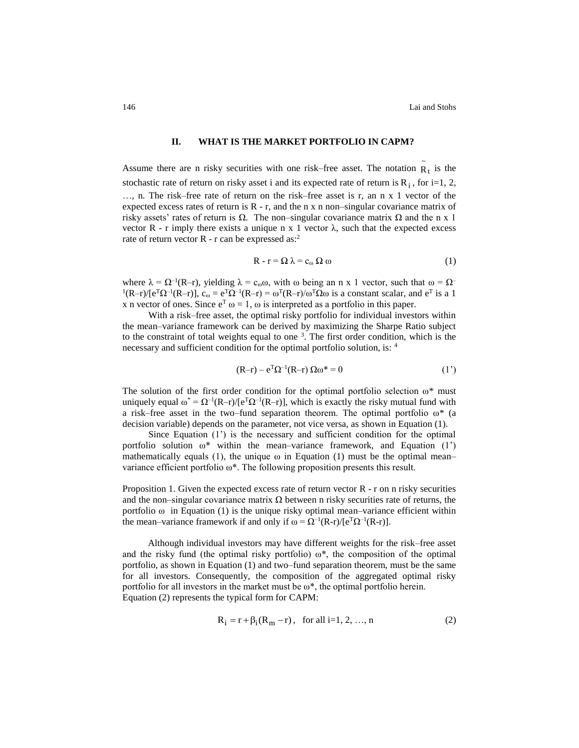~

#### **II. WHAT IS THE MARKET PORTFOLIO IN CAPM?**

Assume there are n risky securities with one risk–free asset. The notation  $R_t$  is the stochastic rate of return on risky asset i and its expected rate of return is  $R_i$ , for i=1, 2, …, n. The risk–free rate of return on the risk–free asset is r, an n x 1 vector of the expected excess rates of return is  $R - r$ , and the n x n non-singular covariance matrix of risky assets' rates of return is  $Ω$ . The non–singular covariance matrix  $Ω$  and the n x 1 vector R - r imply there exists a unique n x 1 vector  $λ$ , such that the expected excess rate of return vector  $R - r$  can be expressed as:<sup>2</sup>

$$
R - r = \Omega \lambda = c_{\omega} \Omega \omega \tag{1}
$$

where  $\lambda = \Omega^{-1}(R-r)$ , yielding  $\lambda = c_{\omega}\omega$ , with  $\omega$  being an n x 1 vector, such that  $\omega = \Omega^{-1}(R-r)$  ${}^{1}(R-r)/[e^{T}\Omega^{-1}(R-r)],$   $c_{\omega} = e^{T}\Omega^{-1}(R-r) = \omega^{T}(R-r)/\omega^{T}\Omega\omega$  is a constant scalar, and  $e^{T}$  is a 1 x n vector of ones. Since  $e^T \omega = 1$ ,  $\omega$  is interpreted as a portfolio in this paper.

With a risk–free asset, the optimal risky portfolio for individual investors within the mean–variance framework can be derived by maximizing the Sharpe Ratio subject to the constraint of total weights equal to one <sup>3</sup>. The first order condition, which is the necessary and sufficient condition for the optimal portfolio solution, is: <sup>4</sup>

$$
(\mathbf{R} - \mathbf{r}) - \mathbf{e}^{\mathrm{T}} \Omega^{-1} (\mathbf{R} - \mathbf{r}) \Omega \omega^* = 0 \tag{1'}
$$

The solution of the first order condition for the optimal portfolio selection  $\omega^*$  must uniquely equal  $\omega^* = \Omega^{-1}(R-r)/[e^T\Omega^{-1}(R-r)]$ , which is exactly the risky mutual fund with a risk–free asset in the two–fund separation theorem. The optimal portfolio  $\omega^*$  (a decision variable) depends on the parameter, not vice versa, as shown in Equation (1).

Since Equation (1') is the necessary and sufficient condition for the optimal portfolio solution  $\omega^*$  within the mean–variance framework, and Equation (1') mathematically equals (1), the unique  $\omega$  in Equation (1) must be the optimal mean– variance efficient portfolio ω\*. The following proposition presents this result.

Proposition 1. Given the expected excess rate of return vector  $R - r$  on n risky securities and the non–singular covariance matrix  $\Omega$  between n risky securities rate of returns, the portfolio  $\omega$  in Equation (1) is the unique risky optimal mean–variance efficient within the mean–variance framework if and only if  $\omega = \Omega^{-1}(R-r)/[e^{T}\Omega^{-1}(R-r)]$ .

Although individual investors may have different weights for the risk–free asset and the risky fund (the optimal risky portfolio)  $\omega^*$ , the composition of the optimal portfolio, as shown in Equation (1) and two–fund separation theorem, must be the same for all investors. Consequently, the composition of the aggregated optimal risky portfolio for all investors in the market must be  $\omega^*$ , the optimal portfolio herein. Equation (2) represents the typical form for CAPM:

$$
R_i = r + \beta_i (R_m - r), \text{ for all } i = 1, 2, ..., n
$$
 (2)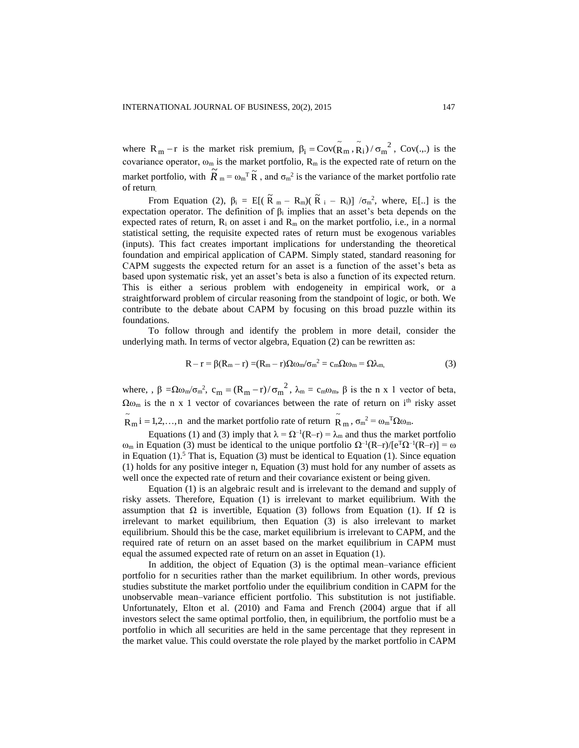where  $R_m - r$  is the market risk premium,  $\beta_i = Cov(\tilde{R}_m, \tilde{R}_i) / \sigma_m^2$  $\beta_i = \text{Cov}(\tilde{R}_{m}, \tilde{R}_i) / \sigma_{m}^{2}$ , Cov(...) is the covariance operator,  $\omega_m$  is the market portfolio,  $R_m$  is the expected rate of return on the market portfolio, with  $\widetilde{R}_{m} = \omega_{m}^{T} \widetilde{R}$ , and  $\sigma_{m}^{2}$  is the variance of the market portfolio rate of return.

From Equation (2),  $\beta_i = E[(\tilde{R}_m - R_m)(\tilde{R}_i - R_i)] / \sigma_m^2$ , where, E[..] is the expectation operator. The definition of  $\beta_i$  implies that an asset's beta depends on the expected rates of return,  $R_i$  on asset i and  $R_m$  on the market portfolio, i.e., in a normal statistical setting, the requisite expected rates of return must be exogenous variables (inputs). This fact creates important implications for understanding the theoretical foundation and empirical application of CAPM. Simply stated, standard reasoning for CAPM suggests the expected return for an asset is a function of the asset's beta as based upon systematic risk, yet an asset's beta is also a function of its expected return. This is either a serious problem with endogeneity in empirical work, or a straightforward problem of circular reasoning from the standpoint of logic, or both. We contribute to the debate about CAPM by focusing on this broad puzzle within its foundations.

To follow through and identify the problem in more detail, consider the underlying math. In terms of vector algebra, Equation (2) can be rewritten as:

$$
R - r = \beta(R_m - r) = (R_m - r)\Omega\omega_m/\sigma_m^2 = c_m\Omega\omega_m = \Omega\lambda_m,\tag{3}
$$

where,  $\beta = \Omega \omega_{m}/\sigma_{m}^{2}$ ,  $c_{m} = (R_{m} - r)/\sigma_{m}^{2}$ ,  $\lambda_{m} = c_{m}\omega_{m}$ ,  $\beta$  is the n x 1 vector of beta,  $\Omega_{\omega_m}$  is the n x 1 vector of covariances between the rate of return on i<sup>th</sup> risky asset

#### $\widetilde{R}_{m}$  i = 1,2,..., n and the market portfolio rate of return  $\widetilde{R}_{m}$  $\tilde{R}_m$ ,  $\sigma_m^2 = \omega_m^T \Omega \omega_m$ .

Equations (1) and (3) imply that  $\lambda = \Omega^{-1}(R-r) = \lambda_m$  and thus the market portfolio ω<sub>m</sub> in Equation (3) must be identical to the unique portfolio  $\Omega^{-1}(R-r)/[e^{T}\Omega^{-1}(R-r)] = \omega$ in Equation  $(1)$ .<sup>5</sup> That is, Equation  $(3)$  must be identical to Equation  $(1)$ . Since equation (1) holds for any positive integer n, Equation (3) must hold for any number of assets as well once the expected rate of return and their covariance existent or being given.

Equation (1) is an algebraic result and is irrelevant to the demand and supply of risky assets. Therefore, Equation (1) is irrelevant to market equilibrium. With the assumption that  $\Omega$  is invertible, Equation (3) follows from Equation (1). If  $\Omega$  is irrelevant to market equilibrium, then Equation (3) is also irrelevant to market equilibrium. Should this be the case, market equilibrium is irrelevant to CAPM, and the required rate of return on an asset based on the market equilibrium in CAPM must equal the assumed expected rate of return on an asset in Equation (1).

In addition, the object of Equation (3) is the optimal mean–variance efficient portfolio for n securities rather than the market equilibrium. In other words, previous studies substitute the market portfolio under the equilibrium condition in CAPM for the unobservable mean–variance efficient portfolio. This substitution is not justifiable. Unfortunately, Elton et al. (2010) and Fama and French (2004) argue that if all investors select the same optimal portfolio, then, in equilibrium, the portfolio must be a portfolio in which all securities are held in the same percentage that they represent in the market value. This could overstate the role played by the market portfolio in CAPM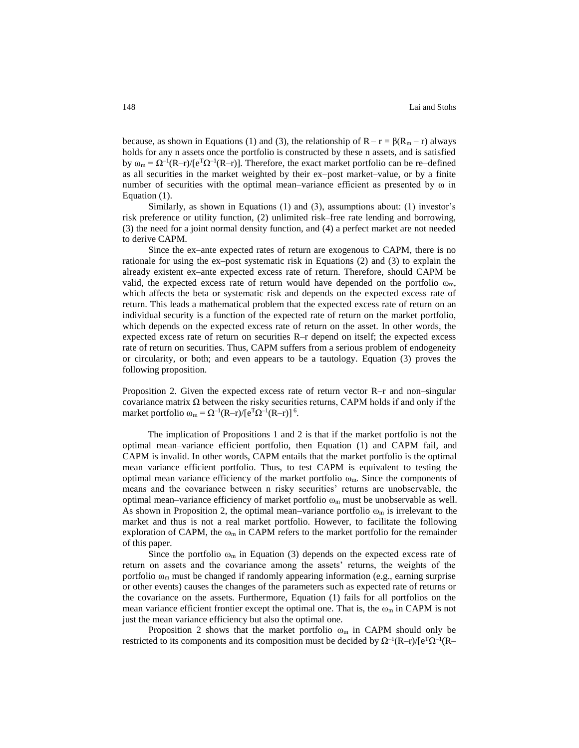because, as shown in Equations (1) and (3), the relationship of  $R - r = \beta(R_m - r)$  always holds for any n assets once the portfolio is constructed by these n assets, and is satisfied by  $ω_m = Ω^{-1}(R-r)/(e<sup>T</sup>Ω<sup>-1</sup>(R-r))$ . Therefore, the exact market portfolio can be re-defined as all securities in the market weighted by their ex–post market–value, or by a finite number of securities with the optimal mean–variance efficient as presented by ω in Equation (1).

Similarly, as shown in Equations (1) and (3), assumptions about: (1) investor's risk preference or utility function, (2) unlimited risk–free rate lending and borrowing, (3) the need for a joint normal density function, and (4) a perfect market are not needed to derive CAPM.

Since the ex–ante expected rates of return are exogenous to CAPM, there is no rationale for using the ex–post systematic risk in Equations (2) and (3) to explain the already existent ex–ante expected excess rate of return. Therefore, should CAPM be valid, the expected excess rate of return would have depended on the portfolio  $\omega_{\rm m}$ , which affects the beta or systematic risk and depends on the expected excess rate of return. This leads a mathematical problem that the expected excess rate of return on an individual security is a function of the expected rate of return on the market portfolio, which depends on the expected excess rate of return on the asset. In other words, the expected excess rate of return on securities R–r depend on itself; the expected excess rate of return on securities. Thus, CAPM suffers from a serious problem of endogeneity or circularity, or both; and even appears to be a tautology. Equation (3) proves the following proposition.

Proposition 2. Given the expected excess rate of return vector R–r and non–singular covariance matrix  $\Omega$  between the risky securities returns, CAPM holds if and only if the market portfolio  $\omega_m = \Omega^{-1}(R-r)/[e^T \Omega^{-1}(R-r)]^6$ .

The implication of Propositions 1 and 2 is that if the market portfolio is not the optimal mean–variance efficient portfolio, then Equation (1) and CAPM fail, and CAPM is invalid. In other words, CAPM entails that the market portfolio is the optimal mean–variance efficient portfolio. Thus, to test CAPM is equivalent to testing the optimal mean variance efficiency of the market portfolio  $\omega_{\rm m}$ . Since the components of means and the covariance between n risky securities' returns are unobservable, the optimal mean–variance efficiency of market portfolio  $\omega_m$  must be unobservable as well. As shown in Proposition 2, the optimal mean–variance portfolio  $\omega_m$  is irrelevant to the market and thus is not a real market portfolio. However, to facilitate the following exploration of CAPM, the  $\omega_m$  in CAPM refers to the market portfolio for the remainder of this paper.

Since the portfolio  $\omega_m$  in Equation (3) depends on the expected excess rate of return on assets and the covariance among the assets' returns, the weights of the portfolio  $\omega_m$  must be changed if randomly appearing information (e.g., earning surprise or other events) causes the changes of the parameters such as expected rate of returns or the covariance on the assets. Furthermore, Equation (1) fails for all portfolios on the mean variance efficient frontier except the optimal one. That is, the  $\omega_m$  in CAPM is not just the mean variance efficiency but also the optimal one.

Proposition 2 shows that the market portfolio  $\omega_m$  in CAPM should only be restricted to its components and its composition must be decided by  $\Omega^{-1}(R-r)/[e^T\Omega^{-1}(R-r)]$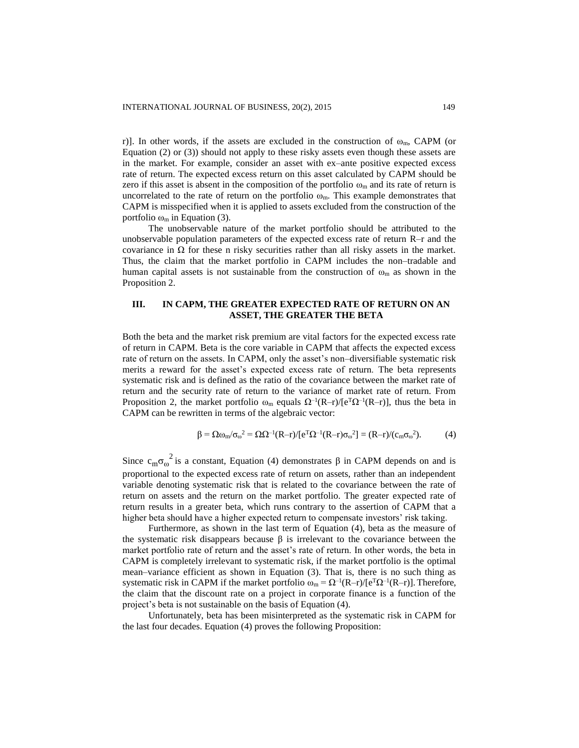r). In other words, if the assets are excluded in the construction of  $\omega_m$ , CAPM (or Equation (2) or (3)) should not apply to these risky assets even though these assets are in the market. For example, consider an asset with ex–ante positive expected excess rate of return. The expected excess return on this asset calculated by CAPM should be zero if this asset is absent in the composition of the portfolio  $\omega_m$  and its rate of return is uncorrelated to the rate of return on the portfolio  $\omega_m$ . This example demonstrates that CAPM is misspecified when it is applied to assets excluded from the construction of the portfolio  $\omega_m$  in Equation (3).

The unobservable nature of the market portfolio should be attributed to the unobservable population parameters of the expected excess rate of return R–r and the covariance in  $\Omega$  for these n risky securities rather than all risky assets in the market. Thus, the claim that the market portfolio in CAPM includes the non–tradable and human capital assets is not sustainable from the construction of  $\omega_m$  as shown in the Proposition 2.

# **III. IN CAPM, THE GREATER EXPECTED RATE OF RETURN ON AN ASSET, THE GREATER THE BETA**

Both the beta and the market risk premium are vital factors for the expected excess rate of return in CAPM. Beta is the core variable in CAPM that affects the expected excess rate of return on the assets. In CAPM, only the asset's non–diversifiable systematic risk merits a reward for the asset's expected excess rate of return. The beta represents systematic risk and is defined as the ratio of the covariance between the market rate of return and the security rate of return to the variance of market rate of return. From Proposition 2, the market portfolio  $\omega_m$  equals  $\Omega^{-1}(R-r)/[e^T\Omega^{-1}(R-r)]$ , thus the beta in CAPM can be rewritten in terms of the algebraic vector:

$$
\beta = \Omega \omega_m / \sigma_\omega^2 = \Omega \Omega^{-1} (R - r) / [e^T \Omega^{-1} (R - r) \sigma_\omega^2] = (R - r) / (c_m \sigma_\omega^2). \tag{4}
$$

Since  $c_{m}\sigma_{\omega}^{2}$  is a constant, Equation (4) demonstrates  $\beta$  in CAPM depends on and is proportional to the expected excess rate of return on assets, rather than an independent variable denoting systematic risk that is related to the covariance between the rate of return on assets and the return on the market portfolio. The greater expected rate of return results in a greater beta, which runs contrary to the assertion of CAPM that a higher beta should have a higher expected return to compensate investors' risk taking.

Furthermore, as shown in the last term of Equation (4), beta as the measure of the systematic risk disappears because β is irrelevant to the covariance between the market portfolio rate of return and the asset's rate of return. In other words, the beta in CAPM is completely irrelevant to systematic risk, if the market portfolio is the optimal mean–variance efficient as shown in Equation (3). That is, there is no such thing as systematic risk in CAPM if the market portfolio  $\omega_m = \Omega^{-1}(R-r)/[e^T\Omega^{-1}(R-r)]$ . Therefore, the claim that the discount rate on a project in corporate finance is a function of the project's beta is not sustainable on the basis of Equation (4).

Unfortunately, beta has been misinterpreted as the systematic risk in CAPM for the last four decades. Equation (4) proves the following Proposition: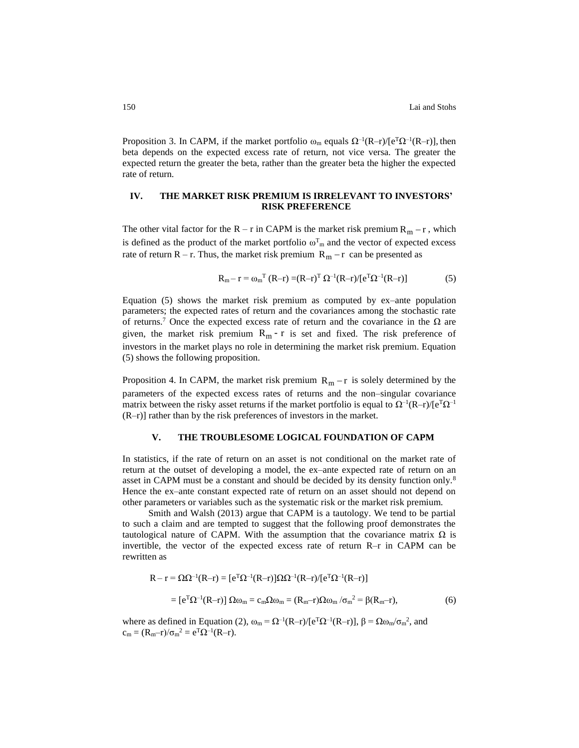Proposition 3. In CAPM, if the market portfolio  $\omega_m$  equals  $\Omega^{-1}(R-r)/[e^T\Omega^{-1}(R-r)]$ , then beta depends on the expected excess rate of return, not vice versa. The greater the expected return the greater the beta, rather than the greater beta the higher the expected rate of return.

### **IV. THE MARKET RISK PREMIUM IS IRRELEVANT TO INVESTORS' RISK PREFERENCE**

The other vital factor for the  $R - r$  in CAPM is the market risk premium  $R_m - r$ , which is defined as the product of the market portfolio  $\omega_{m}^{T}$  and the vector of expected excess rate of return  $R - r$ . Thus, the market risk premium  $R_m - r$  can be presented as

$$
R_m - r = \omega_m^T (R - r) = (R - r)^T \Omega^{-1} (R - r) / [e^T \Omega^{-1} (R - r)] \tag{5}
$$

Equation (5) shows the market risk premium as computed by ex–ante population parameters; the expected rates of return and the covariances among the stochastic rate of returns.<sup>7</sup> Once the expected excess rate of return and the covariance in the  $\Omega$  are given, the market risk premium  $R_m - r$  is set and fixed. The risk preference of investors in the market plays no role in determining the market risk premium. Equation (5) shows the following proposition.

Proposition 4. In CAPM, the market risk premium  $R_m - r$  is solely determined by the parameters of the expected excess rates of returns and the non–singular covariance matrix between the risky asset returns if the market portfolio is equal to  $\Omega^{-1}(R-r)/[e^T\Omega^{-1}]$ (R–r)] rather than by the risk preferences of investors in the market.

# **V. THE TROUBLESOME LOGICAL FOUNDATION OF CAPM**

In statistics, if the rate of return on an asset is not conditional on the market rate of return at the outset of developing a model, the ex–ante expected rate of return on an asset in CAPM must be a constant and should be decided by its density function only.<sup>8</sup> Hence the ex–ante constant expected rate of return on an asset should not depend on other parameters or variables such as the systematic risk or the market risk premium.

Smith and Walsh (2013) argue that CAPM is a tautology. We tend to be partial to such a claim and are tempted to suggest that the following proof demonstrates the tautological nature of CAPM. With the assumption that the covariance matrix  $\Omega$  is invertible, the vector of the expected excess rate of return R–r in CAPM can be rewritten as

$$
R - r = \Omega \Omega^{-1}(R - r) = [e^T \Omega^{-1}(R - r)]\Omega \Omega^{-1}(R - r) / [e^T \Omega^{-1}(R - r)]
$$
  
= 
$$
[e^T \Omega^{-1}(R - r)] \Omega \omega_m = c_m \Omega \omega_m = (R_m - r)\Omega \omega_m / \sigma_m^2 = \beta(R_m - r),
$$
 (6)

where as defined in Equation (2),  $\omega_m = \Omega^{-1}(R-r)/[e^T\Omega^{-1}(R-r)]$ ,  $\beta = \Omega \omega_m / \sigma_m^2$ , and  $c_m = (R_m - r)/\sigma_m^2 = e^T \Omega^{-1} (R - r).$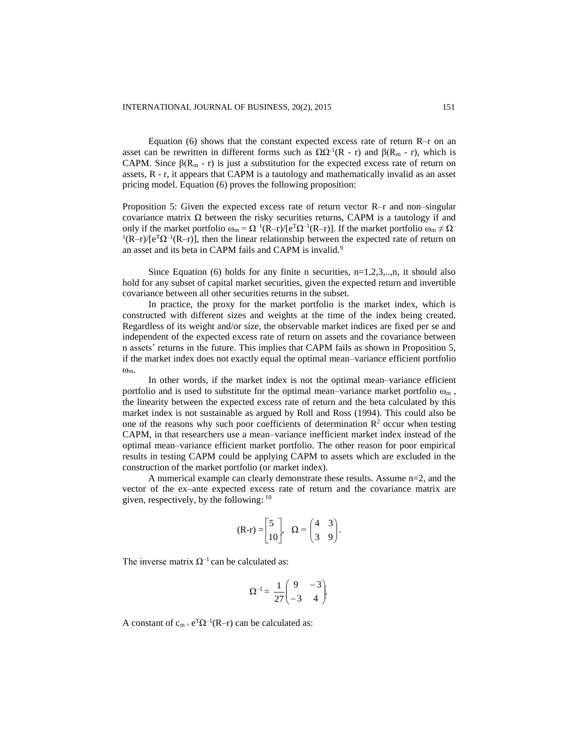Equation (6) shows that the constant expected excess rate of return  $R-r$  on an asset can be rewritten in different forms such as  $\Omega \Omega^{-1}(R - r)$  and  $\beta(R_m - r)$ , which is CAPM. Since  $\beta(R_m - r)$  is just a substitution for the expected excess rate of return on assets,  $R - r$ , it appears that CAPM is a tautology and mathematically invalid as an asset pricing model. Equation (6) proves the following proposition:

Proposition 5: Given the expected excess rate of return vector R–r and non–singular covariance matrix  $\Omega$  between the risky securities returns, CAPM is a tautology if and only if the market portfolio  $ω_m = Ω^{-1}(R-r)/[e^TΩ^{-1}(R-r)]$ . If the market portfolio  $ω_m \neq Ω^{-1}(R-r)/[e^TΩ^{-1}(R-r)]$  $(1(R-r)/[e^{T}\Omega^{-1}(R-r)]$ , then the linear relationship between the expected rate of return on an asset and its beta in CAPM fails and CAPM is invalid.<sup>9</sup>

Since Equation (6) holds for any finite n securities,  $n=1,2,3,...,n$ , it should also hold for any subset of capital market securities, given the expected return and invertible covariance between all other securities returns in the subset.

In practice, the proxy for the market portfolio is the market index, which is constructed with different sizes and weights at the time of the index being created. Regardless of its weight and/or size, the observable market indices are fixed per se and independent of the expected excess rate of return on assets and the covariance between n assets' returns in the future. This implies that CAPM fails as shown in Proposition 5, if the market index does not exactly equal the optimal mean–variance efficient portfolio ωm.

In other words, if the market index is not the optimal mean–variance efficient portfolio and is used to substitute for the optimal mean–variance market portfolio  $\omega_m$ . the linearity between the expected excess rate of return and the beta calculated by this market index is not sustainable as argued by Roll and Ross (1994). This could also be one of the reasons why such poor coefficients of determination  $\mathbb{R}^2$  occur when testing CAPM, in that researchers use a mean–variance inefficient market index instead of the optimal mean–variance efficient market portfolio. The other reason for poor empirical results in testing CAPM could be applying CAPM to assets which are excluded in the construction of the market portfolio (or market index).

A numerical example can clearly demonstrate these results. Assume n=2, and the vector of the ex–ante expected excess rate of return and the covariance matrix are given, respectively, by the following:  $10$ 

$$
(\mathbf{R}\text{-}\mathbf{r}) = \begin{bmatrix} 5 \\ 10 \end{bmatrix}, \quad \Omega = \begin{pmatrix} 4 & 3 \\ 3 & 9 \end{pmatrix}.
$$

The inverse matrix  $\Omega^{-1}$  can be calculated as:

$$
\Omega^{-1} = \frac{1}{27} \begin{pmatrix} 9 & -3 \\ -3 & 4 \end{pmatrix}.
$$

A constant of  $c_{m} = e^{T} \Omega^{-1}(R-r)$  can be calculated as: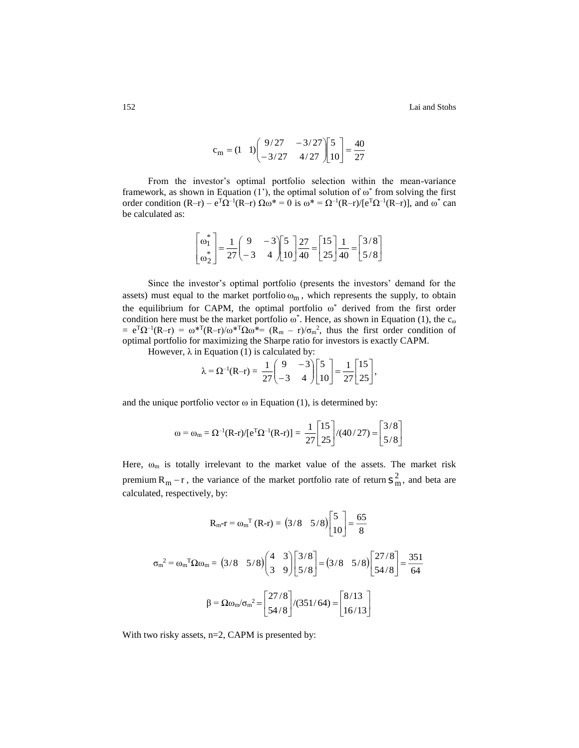152 Lai and Stohs

$$
c_m = (1 \quad 1) \begin{pmatrix} 9/27 & -3/27 \\ -3/27 & 4/27 \end{pmatrix} \begin{bmatrix} 5 \\ 10 \end{bmatrix} = \frac{40}{27}
$$

From the investor's optimal portfolio selection within the mean-variance framework, as shown in Equation  $(1')$ , the optimal solution of  $\omega^*$  from solving the first order condition  $(R-r) - e^{T}Q^{-1}(R-r) \Omega \omega^* = 0$  is  $\omega^* = \Omega^{-1}(R-r)/[e^{T}Q^{-1}(R-r)]$ , and  $\omega^*$  can be calculated as:

$$
\begin{bmatrix} \omega_1^* \\ \omega_2^* \end{bmatrix} = \frac{1}{27} \begin{pmatrix} 9 & -3 \\ -3 & 4 \end{pmatrix} \begin{bmatrix} 5 \\ 10 \end{bmatrix} \frac{27}{40} = \begin{bmatrix} 15 \\ 25 \end{bmatrix} \frac{1}{40} = \begin{bmatrix} 3/8 \\ 5/8 \end{bmatrix}
$$

Since the investor's optimal portfolio (presents the investors' demand for the assets) must equal to the market portfolio  $\omega_m$ , which represents the supply, to obtain the equilibrium for CAPM, the optimal portfolio  $\omega^*$  derived from the first order condition here must be the market portfolio  $\omega^*$ . Hence, as shown in Equation (1), the  $c_{\omega}$  $= e^{T}\Omega^{-1}(R-r) = \omega^{*T}(R-r)/\omega^{*T}\Omega \omega^{*} = (R_m - r)/\sigma_m^{2}$ , thus the first order condition of optimal portfolio for maximizing the Sharpe ratio for investors is exactly CAPM.

However,  $\lambda$  in Equation (1) is calculated by:

$$
\lambda = \Omega^{-1}(R-r) = \frac{1}{27} \begin{pmatrix} 9 & -3 \\ -3 & 4 \end{pmatrix} \begin{bmatrix} 5 \\ 10 \end{bmatrix} = \frac{1}{27} \begin{bmatrix} 15 \\ 25 \end{bmatrix},
$$

and the unique portfolio vector  $\omega$  in Equation (1), is determined by:

$$
\omega = \omega_{\rm m} = \Omega^{-1}(\mathbf{R} \cdot \mathbf{r})/[\mathbf{e}^{\mathrm{T}} \Omega^{-1}(\mathbf{R} \cdot \mathbf{r})] = \frac{1}{27} \begin{bmatrix} 15 \\ 25 \end{bmatrix} / (40/27) = \begin{bmatrix} 3/8 \\ 5/8 \end{bmatrix}
$$

Here,  $\omega_m$  is totally irrelevant to the market value of the assets. The market risk premium  $R_m - r$ , the variance of the market portfolio rate of return  $S_m^2$ , and beta are calculated, respectively, by:

$$
R_{m-1} = \omega_{m}^{T} (R-r) = (3/8 \quad 5/8) \begin{bmatrix} 5 \\ 10 \end{bmatrix} = \frac{65}{8}
$$

$$
\sigma_{m}^{2} = \omega_{m}^{T} \Omega \omega_{m} = (3/8 \quad 5/8) \begin{bmatrix} 4 & 3 \\ 3 & 9 \end{bmatrix} \begin{bmatrix} 3/8 \\ 5/8 \end{bmatrix} = (3/8 \quad 5/8) \begin{bmatrix} 27/8 \\ 54/8 \end{bmatrix} = \frac{351}{64}
$$

$$
\beta = \Omega \omega_{m} / \sigma_{m}^{2} = \begin{bmatrix} 27/8 \\ 54/8 \end{bmatrix} / (351/64) = \begin{bmatrix} 8/13 \\ 16/13 \end{bmatrix}
$$

With two risky assets, n=2, CAPM is presented by: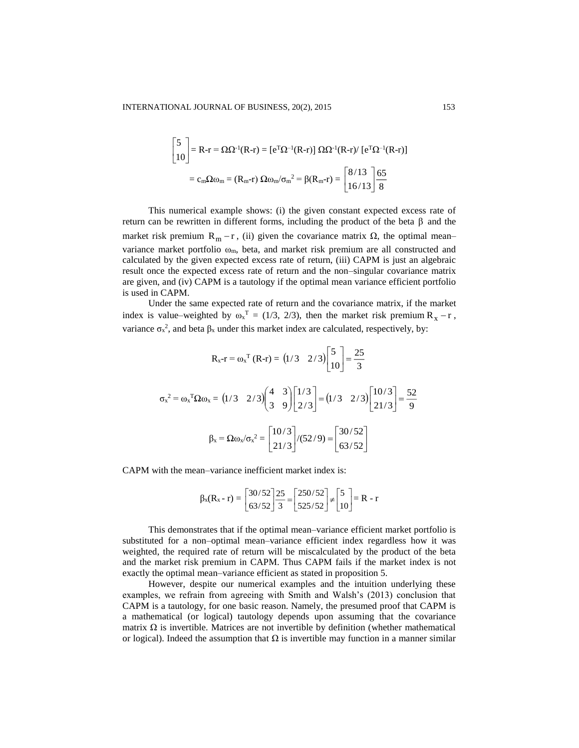$$
\begin{bmatrix} 5 \ 10 \end{bmatrix} = R-r = \Omega \Omega^{-1} (R-r) = [e^{\mathrm{T}} \Omega^{-1} (R-r)] \Omega \Omega^{-1} (R-r) / [e^{\mathrm{T}} \Omega^{-1} (R-r)]
$$

$$
= c_m \Omega \omega_m = (R_m-r) \Omega \omega_m / \sigma_m^2 = \beta (R_m-r) = \begin{bmatrix} 8/13 \\ 16/13 \end{bmatrix} \frac{65}{8}
$$

This numerical example shows: (i) the given constant expected excess rate of return can be rewritten in different forms, including the product of the beta  $\beta$  and the market risk premium  $R_m - r$ , (ii) given the covariance matrix  $\Omega$ , the optimal mean– variance market portfolio  $\omega_m$ , beta, and market risk premium are all constructed and calculated by the given expected excess rate of return, (iii) CAPM is just an algebraic result once the expected excess rate of return and the non–singular covariance matrix are given, and (iv) CAPM is a tautology if the optimal mean variance efficient portfolio is used in CAPM.

Under the same expected rate of return and the covariance matrix, if the market index is value–weighted by  $\omega_x^T = (1/3, 2/3)$ , then the market risk premium  $R_x - r$ , variance  $\sigma_x^2$ , and beta  $\beta_x$  under this market index are calculated, respectively, by:

$$
R_{x} - r = \omega_{x}^{T} (R - r) = (1/3 \quad 2/3) \begin{bmatrix} 5 \\ 10 \end{bmatrix} = \frac{25}{3}
$$

$$
\sigma_{x}^{2} = \omega_{x}^{T} \Omega \omega_{x} = (1/3 \quad 2/3) \begin{bmatrix} 4 & 3 \\ 3 & 9 \end{bmatrix} \begin{bmatrix} 1/3 \\ 2/3 \end{bmatrix} = (1/3 \quad 2/3) \begin{bmatrix} 10/3 \\ 21/3 \end{bmatrix} = \frac{52}{9}
$$

$$
\beta_{x} = \Omega \omega_{x} / \sigma_{x}^{2} = \begin{bmatrix} 10/3 \\ 21/3 \end{bmatrix} / (52/9) = \begin{bmatrix} 30/52 \\ 63/52 \end{bmatrix}
$$

CAPM with the mean–variance inefficient market index is:

$$
\beta_x(R_x - r) = \begin{bmatrix} 30/52 \\ 63/52 \end{bmatrix} \frac{25}{3} = \begin{bmatrix} 250/52 \\ 525/52 \end{bmatrix} \neq \begin{bmatrix} 5 \\ 10 \end{bmatrix} = R - r
$$

This demonstrates that if the optimal mean–variance efficient market portfolio is substituted for a non–optimal mean–variance efficient index regardless how it was weighted, the required rate of return will be miscalculated by the product of the beta and the market risk premium in CAPM. Thus CAPM fails if the market index is not exactly the optimal mean–variance efficient as stated in proposition 5.

However, despite our numerical examples and the intuition underlying these examples, we refrain from agreeing with Smith and Walsh's (2013) conclusion that CAPM is a tautology, for one basic reason. Namely, the presumed proof that CAPM is a mathematical (or logical) tautology depends upon assuming that the covariance matrix  $\Omega$  is invertible. Matrices are not invertible by definition (whether mathematical or logical). Indeed the assumption that  $\Omega$  is invertible may function in a manner similar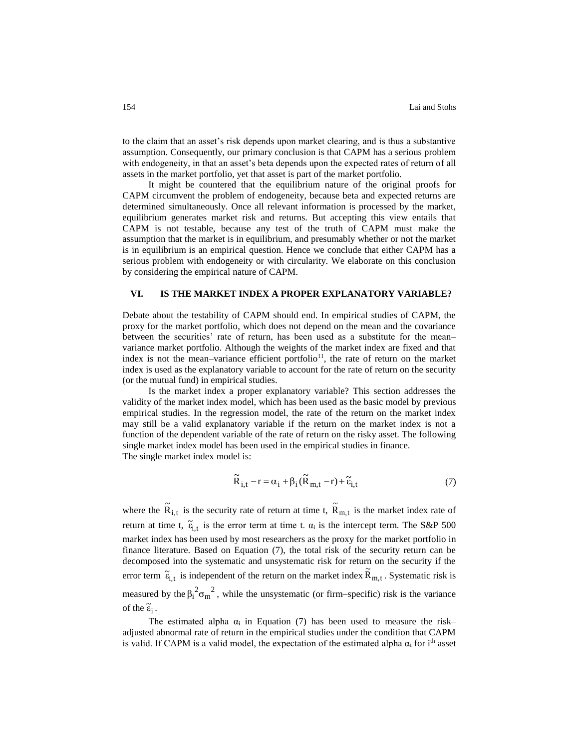to the claim that an asset's risk depends upon market clearing, and is thus a substantive assumption. Consequently, our primary conclusion is that CAPM has a serious problem with endogeneity, in that an asset's beta depends upon the expected rates of return of all assets in the market portfolio, yet that asset is part of the market portfolio.

It might be countered that the equilibrium nature of the original proofs for CAPM circumvent the problem of endogeneity, because beta and expected returns are determined simultaneously. Once all relevant information is processed by the market, equilibrium generates market risk and returns. But accepting this view entails that CAPM is not testable, because any test of the truth of CAPM must make the assumption that the market is in equilibrium, and presumably whether or not the market is in equilibrium is an empirical question. Hence we conclude that either CAPM has a serious problem with endogeneity or with circularity. We elaborate on this conclusion by considering the empirical nature of CAPM.

#### **VI. IS THE MARKET INDEX A PROPER EXPLANATORY VARIABLE?**

Debate about the testability of CAPM should end. In empirical studies of CAPM, the proxy for the market portfolio, which does not depend on the mean and the covariance between the securities' rate of return, has been used as a substitute for the mean– variance market portfolio. Although the weights of the market index are fixed and that index is not the mean–variance efficient portfolio<sup>11</sup>, the rate of return on the market index is used as the explanatory variable to account for the rate of return on the security (or the mutual fund) in empirical studies.

Is the market index a proper explanatory variable? This section addresses the validity of the market index model, which has been used as the basic model by previous empirical studies. In the regression model, the rate of the return on the market index may still be a valid explanatory variable if the return on the market index is not a function of the dependent variable of the rate of return on the risky asset. The following single market index model has been used in the empirical studies in finance. The single market index model is:

$$
\widetilde{R}_{i,t} - r = \alpha_i + \beta_i (\widetilde{R}_{m,t} - r) + \widetilde{\varepsilon}_{i,t}
$$
\n(7)

where the  $\tilde{R}_{i,t}$  is the security rate of return at time t,  $\tilde{R}_{m,t}$  is the market index rate of return at time t,  $\tilde{\epsilon}_{i,t}$  is the error term at time t.  $\alpha_i$  is the intercept term. The S&P 500 market index has been used by most researchers as the proxy for the market portfolio in finance literature. Based on Equation (7), the total risk of the security return can be decomposed into the systematic and unsystematic risk for return on the security if the error term  $\tilde{\epsilon}_{i,t}$  is independent of the return on the market index  $\tilde{R}_{m,t}$ . Systematic risk is measured by the  $\beta_1^2 \sigma_m^2$ , while the unsystematic (or firm–specific) risk is the variance of the  $\tilde{\epsilon}_i$ .

The estimated alpha  $\alpha_i$  in Equation (7) has been used to measure the risk– adjusted abnormal rate of return in the empirical studies under the condition that CAPM is valid. If CAPM is a valid model, the expectation of the estimated alpha  $\alpha_i$  for i<sup>th</sup> asset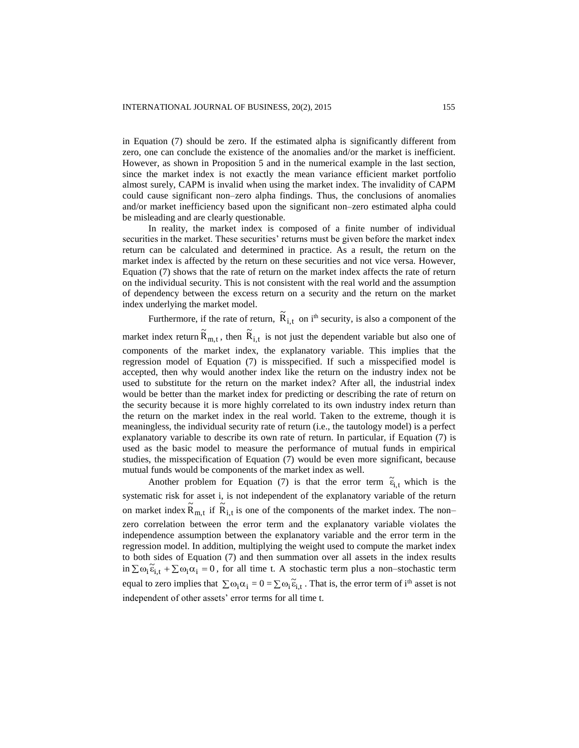in Equation (7) should be zero. If the estimated alpha is significantly different from zero, one can conclude the existence of the anomalies and/or the market is inefficient. However, as shown in Proposition 5 and in the numerical example in the last section, since the market index is not exactly the mean variance efficient market portfolio almost surely, CAPM is invalid when using the market index. The invalidity of CAPM could cause significant non–zero alpha findings. Thus, the conclusions of anomalies and/or market inefficiency based upon the significant non–zero estimated alpha could be misleading and are clearly questionable.

In reality, the market index is composed of a finite number of individual securities in the market. These securities' returns must be given before the market index return can be calculated and determined in practice. As a result, the return on the market index is affected by the return on these securities and not vice versa. However, Equation (7) shows that the rate of return on the market index affects the rate of return on the individual security. This is not consistent with the real world and the assumption of dependency between the excess return on a security and the return on the market index underlying the market model.

Furthermore, if the rate of return,  $\tilde{R}_{i,t}$  on i<sup>th</sup> security, is also a component of the

market index return  $\tilde{R}_{m,t}$ , then  $\tilde{R}_{i,t}$  is not just the dependent variable but also one of components of the market index, the explanatory variable. This implies that the regression model of Equation (7) is misspecified. If such a misspecified model is accepted, then why would another index like the return on the industry index not be used to substitute for the return on the market index? After all, the industrial index would be better than the market index for predicting or describing the rate of return on the security because it is more highly correlated to its own industry index return than the return on the market index in the real world. Taken to the extreme, though it is meaningless, the individual security rate of return (i.e., the tautology model) is a perfect explanatory variable to describe its own rate of return. In particular, if Equation (7) is used as the basic model to measure the performance of mutual funds in empirical studies, the misspecification of Equation (7) would be even more significant, because mutual funds would be components of the market index as well.

Another problem for Equation (7) is that the error term  $\tilde{\epsilon}_{i,t}$  which is the systematic risk for asset i, is not independent of the explanatory variable of the return on market index  $\tilde{R}_{m,t}$  if  $\tilde{R}_{i,t}$  is one of the components of the market index. The non– zero correlation between the error term and the explanatory variable violates the independence assumption between the explanatory variable and the error term in the regression model. In addition, multiplying the weight used to compute the market index to both sides of Equation (7) and then summation over all assets in the index results in  $\sum \omega_i \tilde{\epsilon}_{i,t} + \sum \omega_i \alpha_i = 0$ , for all time t. A stochastic term plus a non–stochastic term equal to zero implies that  $\sum \omega_i \alpha_i = 0 = \sum \omega_i \tilde{\epsilon}_{i,t}$ . That is, the error term of i<sup>th</sup> asset is not independent of other assets' error terms for all time t.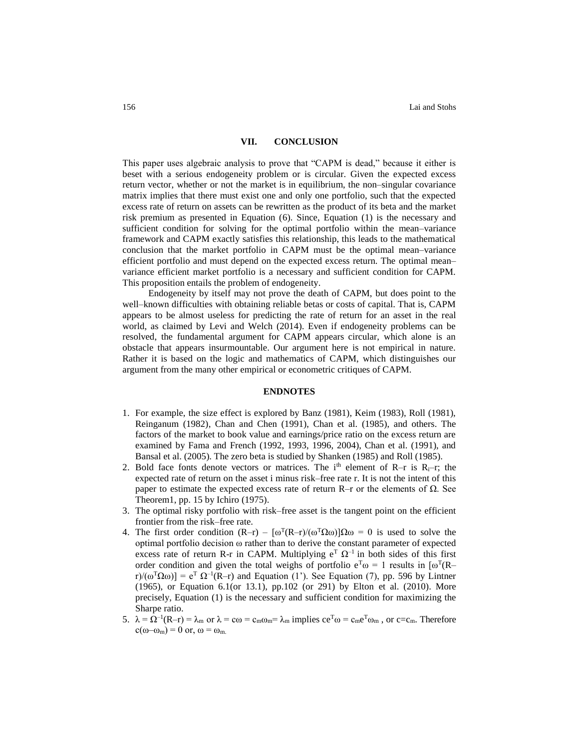### **VII. CONCLUSION**

This paper uses algebraic analysis to prove that "CAPM is dead," because it either is beset with a serious endogeneity problem or is circular. Given the expected excess return vector, whether or not the market is in equilibrium, the non–singular covariance matrix implies that there must exist one and only one portfolio, such that the expected excess rate of return on assets can be rewritten as the product of its beta and the market risk premium as presented in Equation (6). Since, Equation (1) is the necessary and sufficient condition for solving for the optimal portfolio within the mean–variance framework and CAPM exactly satisfies this relationship, this leads to the mathematical conclusion that the market portfolio in CAPM must be the optimal mean–variance efficient portfolio and must depend on the expected excess return. The optimal mean– variance efficient market portfolio is a necessary and sufficient condition for CAPM. This proposition entails the problem of endogeneity.

Endogeneity by itself may not prove the death of CAPM, but does point to the well–known difficulties with obtaining reliable betas or costs of capital. That is, CAPM appears to be almost useless for predicting the rate of return for an asset in the real world, as claimed by Levi and Welch (2014). Even if endogeneity problems can be resolved, the fundamental argument for CAPM appears circular, which alone is an obstacle that appears insurmountable. Our argument here is not empirical in nature. Rather it is based on the logic and mathematics of CAPM, which distinguishes our argument from the many other empirical or econometric critiques of CAPM.

#### **ENDNOTES**

- 1. For example, the size effect is explored by Banz (1981), Keim (1983), Roll (1981), Reinganum (1982), Chan and Chen (1991), Chan et al. (1985), and others. The factors of the market to book value and earnings/price ratio on the excess return are examined by Fama and French (1992, 1993, 1996, 2004), Chan et al. (1991), and Bansal et al. (2005). The zero beta is studied by Shanken (1985) and Roll (1985).
- 2. Bold face fonts denote vectors or matrices. The i<sup>th</sup> element of R–r is R<sub>i</sub>–r; the expected rate of return on the asset i minus risk–free rate r. It is not the intent of this paper to estimate the expected excess rate of return R–r or the elements of  $Ω$ . See Theorem1, pp. 15 by Ichiro (1975).
- 3. The optimal risky portfolio with risk–free asset is the tangent point on the efficient frontier from the risk–free rate.
- 4. The first order condition  $(R-r) [\omega^T(R-r)/(\omega^T\Omega\omega)]\Omega\omega = 0$  is used to solve the optimal portfolio decision  $\omega$  rather than to derive the constant parameter of expected excess rate of return R-r in CAPM. Multiplying  $e^T \Omega^{-1}$  in both sides of this first order condition and given the total weighs of portfolio  $e^T\omega = 1$  results in  $[\omega^T(R$ r)/( $\omega^T \Omega \omega$ )] =  $e^T \Omega^{-1}(R-r)$  and Equation (1'). See Equation (7), pp. 596 by Lintner (1965), or Equation 6.1(or 13.1), pp.102 (or 291) by Elton et al. (2010). More precisely, Equation (1) is the necessary and sufficient condition for maximizing the Sharpe ratio.
- 5.  $\lambda = \Omega^{-1}(R-r) = \lambda_m$  or  $\lambda = c\omega = c_m \omega_m = \lambda_m$  implies  $ce^T \omega = c_m e^T \omega_m$ , or  $c = c_m$ . Therefore  $c(\omega-\omega_m) = 0$  or,  $\omega = \omega_m$ .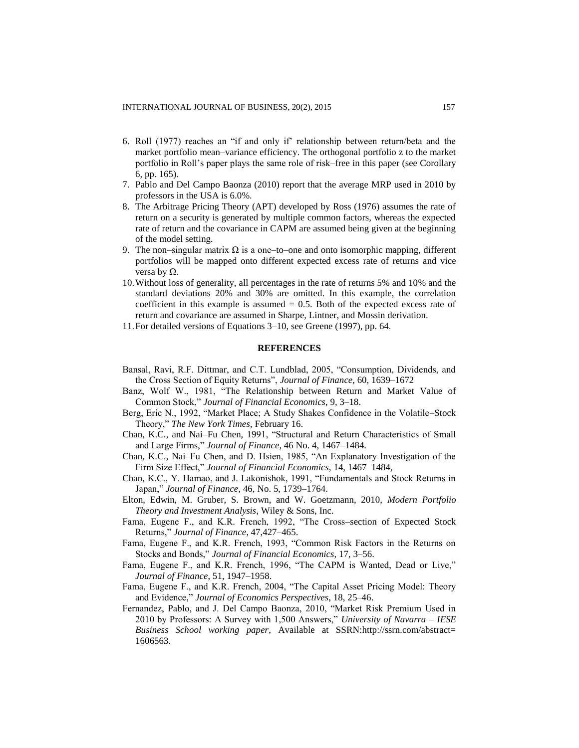- 6. Roll (1977) reaches an "if and only if' relationship between return/beta and the market portfolio mean–variance efficiency. The orthogonal portfolio z to the market portfolio in Roll's paper plays the same role of risk–free in this paper (see Corollary 6, pp. 165).
- 7. Pablo and Del Campo Baonza (2010) report that the average MRP used in 2010 by professors in the USA is 6.0%.
- 8. The Arbitrage Pricing Theory (APT) developed by Ross (1976) assumes the rate of return on a security is generated by multiple common factors, whereas the expected rate of return and the covariance in CAPM are assumed being given at the beginning of the model setting.
- 9. The non–singular matrix  $\Omega$  is a one–to–one and onto isomorphic mapping, different portfolios will be mapped onto different expected excess rate of returns and vice versa by  $Ω$ .
- 10.Without loss of generality, all percentages in the rate of returns 5% and 10% and the standard deviations 20% and 30% are omitted. In this example, the correlation coefficient in this example is assumed  $= 0.5$ . Both of the expected excess rate of return and covariance are assumed in Sharpe, Lintner, and Mossin derivation.
- 11.For detailed versions of Equations 3–10, see Greene (1997), pp. 64.

#### **REFERENCES**

- Bansal, Ravi, R.F. Dittmar, and C.T. Lundblad, 2005, "Consumption, Dividends, and the Cross Section of Equity Returns", *Journal of Finance*, 60, 1639–1672
- Banz, Wolf W., 1981, "The Relationship between Return and Market Value of Common Stock," *Journal of Financial Economics*, 9, 3–18.
- Berg, Eric N., 1992, "Market Place; A Study Shakes Confidence in the Volatile–Stock Theory," *The New York Times*, February 16.
- Chan, K.C., and Nai–Fu Chen, 1991, "Structural and Return Characteristics of Small and Large Firms," *Journal of Finance*, 46 No. 4, 1467–1484.
- Chan, K.C., Nai–Fu Chen, and D. Hsien, 1985, "An Explanatory Investigation of the Firm Size Effect," *Journal of Financial Economics*, 14, 1467–1484,
- Chan, K.C., Y. Hamao, and J. Lakonishok, 1991, "Fundamentals and Stock Returns in Japan," *Journal of Finance*, 46, No. 5, 1739–1764.
- Elton, Edwin, M. Gruber, S. Brown, and W. Goetzmann, 2010, *Modern Portfolio Theory and Investment Analysis*, Wiley & Sons, Inc.
- Fama, Eugene F., and K.R. French, 1992, "The Cross–section of Expected Stock Returns," *Journal of Finance*, 47,427–465.
- Fama, Eugene F., and K.R. French, 1993, "Common Risk Factors in the Returns on Stocks and Bonds," *Journal of Financial Economics*, 17, 3–56.
- Fama, Eugene F., and K.R. French, 1996, "The CAPM is Wanted, Dead or Live," *Journal of Finance*, 51, 1947–1958.
- Fama, Eugene F., and K.R. French, 2004, "The Capital Asset Pricing Model: Theory and Evidence," *Journal of Economics Perspectives*, 18, 25–46.
- Fernandez, Pablo, and J. Del Campo Baonza, 2010, "Market Risk Premium Used in 2010 by Professors: A Survey with 1,500 Answers," *University of Navarra – IESE Business School working paper*, Available at SSRN:http://ssrn.com/abstract= 1606563.